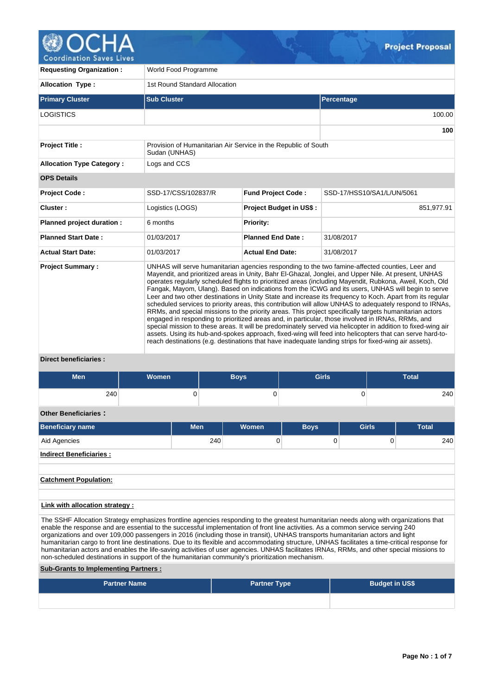

| <b>Requesting Organization:</b>                                                                                                                                                                                                                                                                                                                                                                                                                                                                                                                                                                                                                                                                                                                                                                                                                                                                                                                                                                                                                                                                                                                                                                                                    | World Food Programme                                                            |                                |                            |  |  |  |  |  |  |
|------------------------------------------------------------------------------------------------------------------------------------------------------------------------------------------------------------------------------------------------------------------------------------------------------------------------------------------------------------------------------------------------------------------------------------------------------------------------------------------------------------------------------------------------------------------------------------------------------------------------------------------------------------------------------------------------------------------------------------------------------------------------------------------------------------------------------------------------------------------------------------------------------------------------------------------------------------------------------------------------------------------------------------------------------------------------------------------------------------------------------------------------------------------------------------------------------------------------------------|---------------------------------------------------------------------------------|--------------------------------|----------------------------|--|--|--|--|--|--|
| <b>Allocation Type:</b>                                                                                                                                                                                                                                                                                                                                                                                                                                                                                                                                                                                                                                                                                                                                                                                                                                                                                                                                                                                                                                                                                                                                                                                                            | 1st Round Standard Allocation                                                   |                                |                            |  |  |  |  |  |  |
| <b>Primary Cluster</b>                                                                                                                                                                                                                                                                                                                                                                                                                                                                                                                                                                                                                                                                                                                                                                                                                                                                                                                                                                                                                                                                                                                                                                                                             | <b>Sub Cluster</b>                                                              |                                | Percentage                 |  |  |  |  |  |  |
| <b>LOGISTICS</b>                                                                                                                                                                                                                                                                                                                                                                                                                                                                                                                                                                                                                                                                                                                                                                                                                                                                                                                                                                                                                                                                                                                                                                                                                   |                                                                                 |                                | 100.00                     |  |  |  |  |  |  |
|                                                                                                                                                                                                                                                                                                                                                                                                                                                                                                                                                                                                                                                                                                                                                                                                                                                                                                                                                                                                                                                                                                                                                                                                                                    |                                                                                 |                                | 100                        |  |  |  |  |  |  |
| <b>Project Title:</b>                                                                                                                                                                                                                                                                                                                                                                                                                                                                                                                                                                                                                                                                                                                                                                                                                                                                                                                                                                                                                                                                                                                                                                                                              | Provision of Humanitarian Air Service in the Republic of South<br>Sudan (UNHAS) |                                |                            |  |  |  |  |  |  |
| <b>Allocation Type Category:</b>                                                                                                                                                                                                                                                                                                                                                                                                                                                                                                                                                                                                                                                                                                                                                                                                                                                                                                                                                                                                                                                                                                                                                                                                   | Logs and CCS                                                                    |                                |                            |  |  |  |  |  |  |
| <b>OPS Details</b>                                                                                                                                                                                                                                                                                                                                                                                                                                                                                                                                                                                                                                                                                                                                                                                                                                                                                                                                                                                                                                                                                                                                                                                                                 |                                                                                 |                                |                            |  |  |  |  |  |  |
| <b>Project Code:</b>                                                                                                                                                                                                                                                                                                                                                                                                                                                                                                                                                                                                                                                                                                                                                                                                                                                                                                                                                                                                                                                                                                                                                                                                               | SSD-17/CSS/102837/R                                                             | <b>Fund Project Code:</b>      | SSD-17/HSS10/SA1/L/UN/5061 |  |  |  |  |  |  |
| Cluster:                                                                                                                                                                                                                                                                                                                                                                                                                                                                                                                                                                                                                                                                                                                                                                                                                                                                                                                                                                                                                                                                                                                                                                                                                           | Logistics (LOGS)                                                                | <b>Project Budget in US\$:</b> | 851,977.91                 |  |  |  |  |  |  |
| Planned project duration :                                                                                                                                                                                                                                                                                                                                                                                                                                                                                                                                                                                                                                                                                                                                                                                                                                                                                                                                                                                                                                                                                                                                                                                                         | 6 months                                                                        | Priority:                      |                            |  |  |  |  |  |  |
| <b>Planned Start Date:</b>                                                                                                                                                                                                                                                                                                                                                                                                                                                                                                                                                                                                                                                                                                                                                                                                                                                                                                                                                                                                                                                                                                                                                                                                         | 01/03/2017                                                                      | <b>Planned End Date:</b>       | 31/08/2017                 |  |  |  |  |  |  |
| <b>Actual Start Date:</b>                                                                                                                                                                                                                                                                                                                                                                                                                                                                                                                                                                                                                                                                                                                                                                                                                                                                                                                                                                                                                                                                                                                                                                                                          | 01/03/2017                                                                      | <b>Actual End Date:</b>        | 31/08/2017                 |  |  |  |  |  |  |
| UNHAS will serve humanitarian agencies responding to the two famine-affected counties, Leer and<br><b>Project Summary:</b><br>Mayendit, and prioritized areas in Unity, Bahr El-Ghazal, Jonglei, and Upper Nile. At present, UNHAS<br>operates regularly scheduled flights to prioritized areas (including Mayendit, Rubkona, Aweil, Koch, Old<br>Fangak, Mayom, Ulang). Based on indications from the ICWG and its users, UNHAS will begin to serve<br>Leer and two other destinations in Unity State and increase its frequency to Koch. Apart from its regular<br>scheduled services to priority areas, this contribution will allow UNHAS to adequately respond to IRNAs,<br>RRMs, and special missions to the priority areas. This project specifically targets humanitarian actors<br>engaged in responding to prioritized areas and, in particular, those involved in IRNAs, RRMs, and<br>special mission to these areas. It will be predominately served via helicopter in addition to fixed-wing air<br>assets. Using its hub-and-spokes approach, fixed-wing will feed into helicopters that can serve hard-to-<br>reach destinations (e.g. destinations that have inadequate landing strips for fixed-wing air assets). |                                                                                 |                                |                            |  |  |  |  |  |  |

 $Q_{\rm b}$ 

### **Direct beneficiaries :**

| <b>Men</b>                                                                                                                                                                                                                                                                                                                                                                                                                                                                                                                                                                                                                                                                                                                                                                                                     | Women               |            | <b>Boys</b>         | <b>Girls</b> |                       | <b>Total</b> |  |  |  |  |
|----------------------------------------------------------------------------------------------------------------------------------------------------------------------------------------------------------------------------------------------------------------------------------------------------------------------------------------------------------------------------------------------------------------------------------------------------------------------------------------------------------------------------------------------------------------------------------------------------------------------------------------------------------------------------------------------------------------------------------------------------------------------------------------------------------------|---------------------|------------|---------------------|--------------|-----------------------|--------------|--|--|--|--|
| 240                                                                                                                                                                                                                                                                                                                                                                                                                                                                                                                                                                                                                                                                                                                                                                                                            |                     | 0          | $\Omega$            |              | $\Omega$              | 240          |  |  |  |  |
| <b>Other Beneficiaries:</b>                                                                                                                                                                                                                                                                                                                                                                                                                                                                                                                                                                                                                                                                                                                                                                                    |                     |            |                     |              |                       |              |  |  |  |  |
| <b>Beneficiary name</b>                                                                                                                                                                                                                                                                                                                                                                                                                                                                                                                                                                                                                                                                                                                                                                                        |                     | <b>Men</b> | <b>Women</b>        | <b>Boys</b>  | Girls                 | <b>Total</b> |  |  |  |  |
| Aid Agencies                                                                                                                                                                                                                                                                                                                                                                                                                                                                                                                                                                                                                                                                                                                                                                                                   |                     | 240        | $\Omega$            |              | $\Omega$<br>$\Omega$  | 240          |  |  |  |  |
| <b>Indirect Beneficiaries:</b>                                                                                                                                                                                                                                                                                                                                                                                                                                                                                                                                                                                                                                                                                                                                                                                 |                     |            |                     |              |                       |              |  |  |  |  |
|                                                                                                                                                                                                                                                                                                                                                                                                                                                                                                                                                                                                                                                                                                                                                                                                                |                     |            |                     |              |                       |              |  |  |  |  |
| <b>Catchment Population:</b>                                                                                                                                                                                                                                                                                                                                                                                                                                                                                                                                                                                                                                                                                                                                                                                   |                     |            |                     |              |                       |              |  |  |  |  |
|                                                                                                                                                                                                                                                                                                                                                                                                                                                                                                                                                                                                                                                                                                                                                                                                                |                     |            |                     |              |                       |              |  |  |  |  |
| Link with allocation strategy :                                                                                                                                                                                                                                                                                                                                                                                                                                                                                                                                                                                                                                                                                                                                                                                |                     |            |                     |              |                       |              |  |  |  |  |
| The SSHF Allocation Strategy emphasizes frontline agencies responding to the greatest humanitarian needs along with organizations that<br>enable the response and are essential to the successful implementation of front line activities. As a common service serving 240<br>organizations and over 109,000 passengers in 2016 (including those in transit), UNHAS transports humanitarian actors and light<br>humanitarian cargo to front line destinations. Due to its flexible and accommodating structure, UNHAS facilitates a time-critical response for<br>humanitarian actors and enables the life-saving activities of user agencies. UNHAS facilitates IRNAs, RRMs, and other special missions to<br>non-scheduled destinations in support of the humanitarian community's prioritization mechanism. |                     |            |                     |              |                       |              |  |  |  |  |
| <b>Sub-Grants to Implementing Partners:</b>                                                                                                                                                                                                                                                                                                                                                                                                                                                                                                                                                                                                                                                                                                                                                                    |                     |            |                     |              |                       |              |  |  |  |  |
|                                                                                                                                                                                                                                                                                                                                                                                                                                                                                                                                                                                                                                                                                                                                                                                                                | <b>Partner Name</b> |            | <b>Partner Type</b> |              | <b>Budget in US\$</b> |              |  |  |  |  |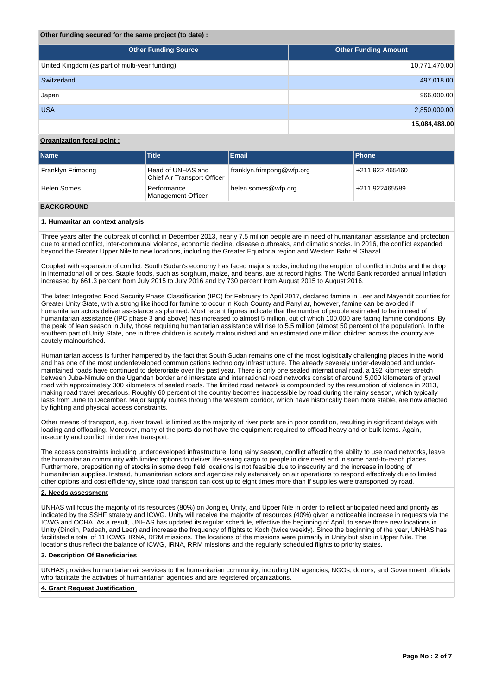### **Other funding secured for the same project (to date) :**

| <b>Other Funding Source</b>                    | <b>Other Funding Amount</b> |
|------------------------------------------------|-----------------------------|
| United Kingdom (as part of multi-year funding) | 10,771,470.00               |
| Switzerland                                    | 497,018.00                  |
| Japan                                          | 966,000.00                  |
| <b>USA</b>                                     | 2,850,000.00                |
|                                                | 15,084,488.00               |

### **Organization focal point :**

| <b>Name</b>        | Title                                            | Email                     | <b>Phone</b>    |
|--------------------|--------------------------------------------------|---------------------------|-----------------|
| Franklyn Frimpong  | Head of UNHAS and<br>Chief Air Transport Officer | franklyn.frimpong@wfp.org | +211 922 465460 |
| <b>Helen Somes</b> | Performance<br>Management Officer                | helen.somes@wfp.org       | +211 922465589  |

### **BACKGROUND**

### **1. Humanitarian context analysis**

Three years after the outbreak of conflict in December 2013, nearly 7.5 million people are in need of humanitarian assistance and protection due to armed conflict, inter-communal violence, economic decline, disease outbreaks, and climatic shocks. In 2016, the conflict expanded beyond the Greater Upper Nile to new locations, including the Greater Equatoria region and Western Bahr el Ghazal.

Coupled with expansion of conflict, South Sudan's economy has faced major shocks, including the eruption of conflict in Juba and the drop in international oil prices. Staple foods, such as sorghum, maize, and beans, are at record highs. The World Bank recorded annual inflation increased by 661.3 percent from July 2015 to July 2016 and by 730 percent from August 2015 to August 2016.

The latest Integrated Food Security Phase Classification (IPC) for February to April 2017, declared famine in Leer and Mayendit counties for Greater Unity State, with a strong likelihood for famine to occur in Koch County and Panyijar, however, famine can be avoided if humanitarian actors deliver assistance as planned. Most recent figures indicate that the number of people estimated to be in need of humanitarian assistance (IPC phase 3 and above) has increased to almost 5 million, out of which 100,000 are facing famine conditions. By the peak of lean season in July, those requiring humanitarian assistance will rise to 5.5 million (almost 50 percent of the population). In the southern part of Unity State, one in three children is acutely malnourished and an estimated one million children across the country are acutely malnourished.

Humanitarian access is further hampered by the fact that South Sudan remains one of the most logistically challenging places in the world and has one of the most underdeveloped communications technology infrastructure. The already severely under-developed and undermaintained roads have continued to deteroriate over the past year. There is only one sealed international road, a 192 kilometer stretch between Juba-Nimule on the Ugandan border and interstate and international road networks consist of around 5,000 kilometers of gravel road with approximately 300 kilometers of sealed roads. The limited road network is compounded by the resumption of violence in 2013, making road travel precarious. Roughly 60 percent of the country becomes inaccessible by road during the rainy season, which typically lasts from June to December. Major supply routes through the Western corridor, which have historically been more stable, are now affected by fighting and physical access constraints.

Other means of transport, e.g. river travel, is limited as the majority of river ports are in poor condition, resulting in significant delays with loading and offloading. Moreover, many of the ports do not have the equipment required to offload heavy and or bulk items. Again, insecurity and conflict hinder river transport.

The access constraints including underdeveloped infrastructure, long rainy season, conflict affecting the ability to use road networks, leave the humanitarian community with limited options to deliver life-saving cargo to people in dire need and in some hard-to-reach places. Furthermore, prepositioning of stocks in some deep field locations is not feasible due to insecurity and the increase in looting of humanitarian supplies. Instead, humanitarian actors and agencies rely extensively on air operations to respond effectively due to limited other options and cost efficiency, since road transport can cost up to eight times more than if supplies were transported by road.

### **2. Needs assessment**

UNHAS will focus the majority of its resources (80%) on Jonglei, Unity, and Upper Nile in order to reflect anticipated need and priority as indicated by the SSHF strategy and ICWG. Unity will receive the majority of resources (40%) given a noticeable increase in requests via the ICWG and OCHA. As a result, UNHAS has updated its regular schedule, effective the beginning of April, to serve three new locations in Unity (Dindin, Padeah, and Leer) and increase the frequency of flights to Koch (twice weekly). Since the beginning of the year, UNHAS has facilitated a total of 11 ICWG, IRNA, RRM missions. The locations of the missions were primarily in Unity but also in Upper Nile. The locations thus reflect the balance of ICWG, IRNA, RRM missions and the regularly scheduled flights to priority states.

### **3. Description Of Beneficiaries**

UNHAS provides humanitarian air services to the humanitarian community, including UN agencies, NGOs, donors, and Government officials who facilitate the activities of humanitarian agencies and are registered organizations.

### **4. Grant Request Justification**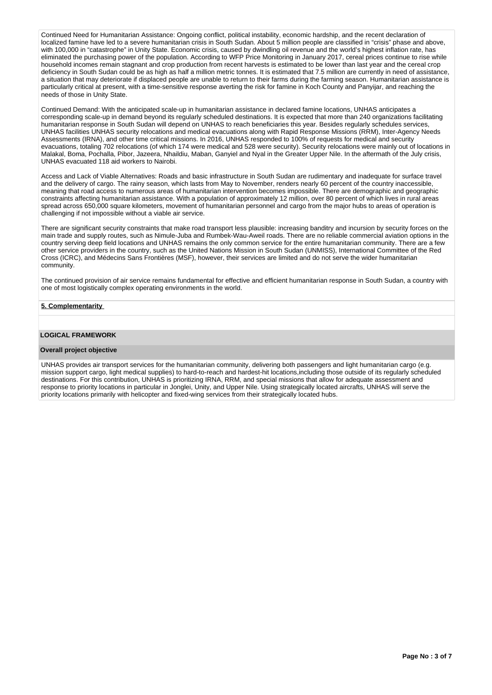Continued Need for Humanitarian Assistance: Ongoing conflict, political instability, economic hardship, and the recent declaration of localized famine have led to a severe humanitarian crisis in South Sudan. About 5 million people are classified in "crisis" phase and above, with 100,000 in "catastrophe" in Unity State. Economic crisis, caused by dwindling oil revenue and the world's highest inflation rate, has eliminated the purchasing power of the population. According to WFP Price Monitoring in January 2017, cereal prices continue to rise while household incomes remain stagnant and crop production from recent harvests is estimated to be lower than last year and the cereal crop deficiency in South Sudan could be as high as half a million metric tonnes. It is estimated that 7.5 million are currently in need of assistance, a situation that may deteriorate if displaced people are unable to return to their farms during the farming season. Humanitarian assistance is particularly critical at present, with a time-sensitive response averting the risk for famine in Koch County and Panyijar, and reaching the needs of those in Unity State.

Continued Demand: With the anticipated scale-up in humanitarian assistance in declared famine locations, UNHAS anticipates a corresponding scale-up in demand beyond its regularly scheduled destinations. It is expected that more than 240 organizations facilitating humanitarian response in South Sudan will depend on UNHAS to reach beneficiaries this year. Besides regularly schedules services, UNHAS facilities UNHAS security relocations and medical evacuations along with Rapid Response Missions (RRM), Inter-Agency Needs Assessments (IRNA), and other time critical missions. In 2016, UNHAS responded to 100% of requests for medical and security evacuations, totaling 702 relocations (of which 174 were medical and 528 were security). Security relocations were mainly out of locations in Malakal, Boma, Pochalla, Pibor, Jazeera, Nhaildiu, Maban, Ganyiel and Nyal in the Greater Upper Nile. In the aftermath of the July crisis, UNHAS evacuated 118 aid workers to Nairobi.

Access and Lack of Viable Alternatives: Roads and basic infrastructure in South Sudan are rudimentary and inadequate for surface travel and the delivery of cargo. The rainy season, which lasts from May to November, renders nearly 60 percent of the country inaccessible, meaning that road access to numerous areas of humanitarian intervention becomes impossible. There are demographic and geographic constraints affecting humanitarian assistance. With a population of approximately 12 million, over 80 percent of which lives in rural areas spread across 650,000 square kilometers, movement of humanitarian personnel and cargo from the major hubs to areas of operation is challenging if not impossible without a viable air service.

There are significant security constraints that make road transport less plausible: increasing banditry and incursion by security forces on the main trade and supply routes, such as Nimule-Juba and Rumbek-Wau-Aweil roads. There are no reliable commercial aviation options in the country serving deep field locations and UNHAS remains the only common service for the entire humanitarian community. There are a few other service providers in the country, such as the United Nations Mission in South Sudan (UNMISS), International Committee of the Red Cross (ICRC), and Médecins Sans Frontières (MSF), however, their services are limited and do not serve the wider humanitarian community.

The continued provision of air service remains fundamental for effective and efficient humanitarian response in South Sudan, a country with one of most logistically complex operating environments in the world.

### **5. Complementarity**

#### **LOGICAL FRAMEWORK**

#### **Overall project objective**

UNHAS provides air transport services for the humanitarian community, delivering both passengers and light humanitarian cargo (e.g. mission support cargo, light medical supplies) to hard-to-reach and hardest-hit locations,including those outside of its regularly scheduled destinations. For this contribution, UNHAS is prioritizing IRNA, RRM, and special missions that allow for adequate assessment and response to priority locations in particular in Jonglei, Unity, and Upper Nile. Using strategically located aircrafts, UNHAS will serve the priority locations primarily with helicopter and fixed-wing services from their strategically located hubs.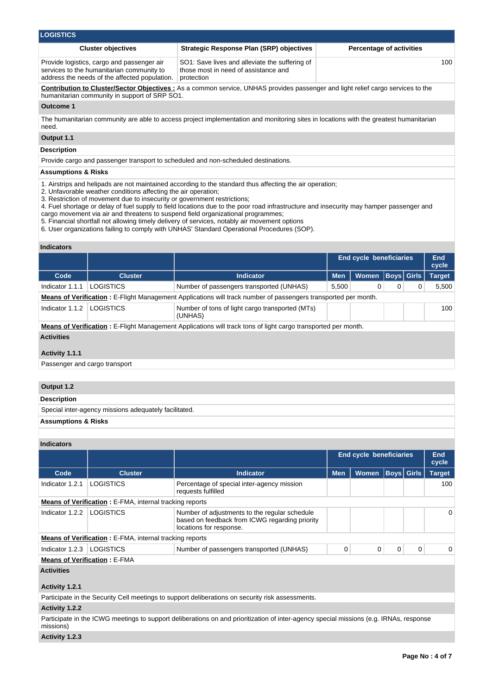| <b>LOGISTICS</b>                                                                                                                         |                                                                                                      |                                 |  |  |  |  |  |  |  |
|------------------------------------------------------------------------------------------------------------------------------------------|------------------------------------------------------------------------------------------------------|---------------------------------|--|--|--|--|--|--|--|
| <b>Cluster objectives</b>                                                                                                                | <b>Strategic Response Plan (SRP) objectives</b>                                                      | <b>Percentage of activities</b> |  |  |  |  |  |  |  |
| Provide logistics, cargo and passenger air<br>services to the humanitarian community to<br>address the needs of the affected population. | SO1: Save lives and alleviate the suffering of<br>those most in need of assistance and<br>protection | 100                             |  |  |  |  |  |  |  |

**Contribution to Cluster/Sector Objectives :** As a common service, UNHAS provides passenger and light relief cargo services to the humanitarian community in support of SRP SO1.

### **Outcome 1**

The humanitarian community are able to access project implementation and monitoring sites in locations with the greatest humanitarian need.

### **Output 1.1**

### **Description**

Provide cargo and passenger transport to scheduled and non-scheduled destinations.

### **Assumptions & Risks**

- 1. Airstrips and helipads are not maintained according to the standard thus affecting the air operation;
- 2. Unfavorable weather conditions affecting the air operation;
- 3. Restriction of movement due to insecurity or government restrictions;
- 4. Fuel shortage or delay of fuel supply to field locations due to the poor road infrastructure and insecurity may hamper passenger and cargo movement via air and threatens to suspend field organizational programmes;
- 5. Financial shortfall not allowing timely delivery of services, notably air movement options
- 6. User organizations failing to comply with UNHAS' Standard Operational Procedures (SOP).

#### **Indicators**

|                                                                                                                       |                  |                                                            | <b>End cycle beneficiaries</b> |              |   |              | End<br>cycle  |  |  |  |
|-----------------------------------------------------------------------------------------------------------------------|------------------|------------------------------------------------------------|--------------------------------|--------------|---|--------------|---------------|--|--|--|
| Code                                                                                                                  | <b>Cluster</b>   | <b>Indicator</b>                                           | <b>Men</b>                     | <b>Women</b> |   | Boys   Girls | <b>Target</b> |  |  |  |
| Indicator 1.1.1                                                                                                       | <b>LOGISTICS</b> | Number of passengers transported (UNHAS)                   | 5,500                          | 0            | 0 | 0            | 5,500         |  |  |  |
| <b>Means of Verification:</b> E-Flight Management Applications will track number of passengers transported per month. |                  |                                                            |                                |              |   |              |               |  |  |  |
| Indicator 1.1.2                                                                                                       | <b>LOGISTICS</b> | Number of tons of light cargo transported (MTs)<br>(UNHAS) |                                | 100          |   |              |               |  |  |  |
| <b>Means of Verification</b> : E-Flight Management Applications will track tons of light cargo transported per month. |                  |                                                            |                                |              |   |              |               |  |  |  |
| <b>Activities</b>                                                                                                     |                  |                                                            |                                |              |   |              |               |  |  |  |
| Activity 1.1.1                                                                                                        |                  |                                                            |                                |              |   |              |               |  |  |  |

### Passenger and cargo transport

## **Output 1.2**

| Description                                           |
|-------------------------------------------------------|
| Special inter-agency missions adequately facilitated. |
| <b>Assumptions &amp; Risks</b>                        |
|                                                       |

## **Indicators**

|                                     |                                                                |                                                                                                                            | <b>End cycle beneficiaries</b> |              |   |                   | <b>End</b><br>cycle |  |  |
|-------------------------------------|----------------------------------------------------------------|----------------------------------------------------------------------------------------------------------------------------|--------------------------------|--------------|---|-------------------|---------------------|--|--|
| Code                                | <b>Cluster</b>                                                 | <b>Indicator</b>                                                                                                           | <b>Men</b>                     | <b>Women</b> |   | <b>Boys</b> Girls | <b>Target</b>       |  |  |
| Indicator 1.2.1                     | <b>LOGISTICS</b>                                               | Percentage of special inter-agency mission<br>requests fulfilled                                                           |                                |              |   |                   | 100                 |  |  |
|                                     | <b>Means of Verification:</b> E-FMA, internal tracking reports |                                                                                                                            |                                |              |   |                   |                     |  |  |
| Indicator 1.2.2                     | LOGISTICS                                                      | Number of adjustments to the regular schedule<br>based on feedback from ICWG regarding priority<br>locations for response. |                                |              |   |                   | 0                   |  |  |
|                                     | <b>Means of Verification: E-FMA, internal tracking reports</b> |                                                                                                                            |                                |              |   |                   |                     |  |  |
| Indicator 1.2.3                     | <b>LOGISTICS</b>                                               | Number of passengers transported (UNHAS)                                                                                   | 0                              | 0            | 0 | 0                 | 0                   |  |  |
| <b>Means of Verification: E-FMA</b> |                                                                |                                                                                                                            |                                |              |   |                   |                     |  |  |
| <b>Activities</b>                   |                                                                |                                                                                                                            |                                |              |   |                   |                     |  |  |
| Activity 1.2.1                      |                                                                |                                                                                                                            |                                |              |   |                   |                     |  |  |

Participate in the Security Cell meetings to support deliberations on security risk assessments.

## **Activity 1.2.2**

Participate in the ICWG meetings to support deliberations on and prioritization of inter-agency special missions (e.g. IRNAs, response missions)

### **Activity 1.2.3**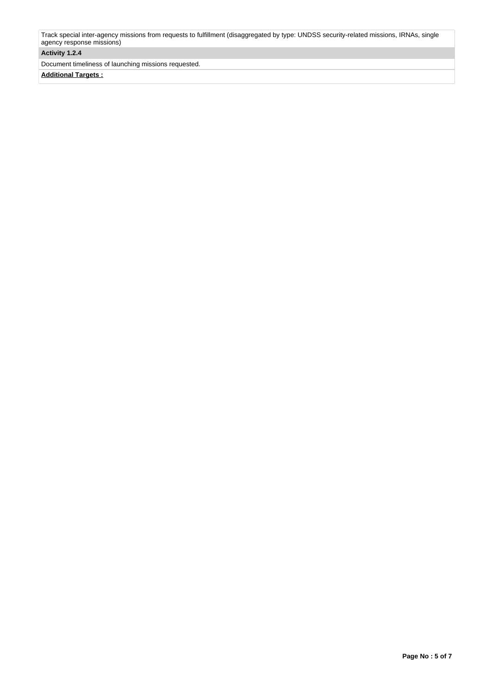Track special inter-agency missions from requests to fulfillment (disaggregated by type: UNDSS security-related missions, IRNAs, single agency response missions)

## **Activity 1.2.4**

Document timeliness of launching missions requested.

**Additional Targets :**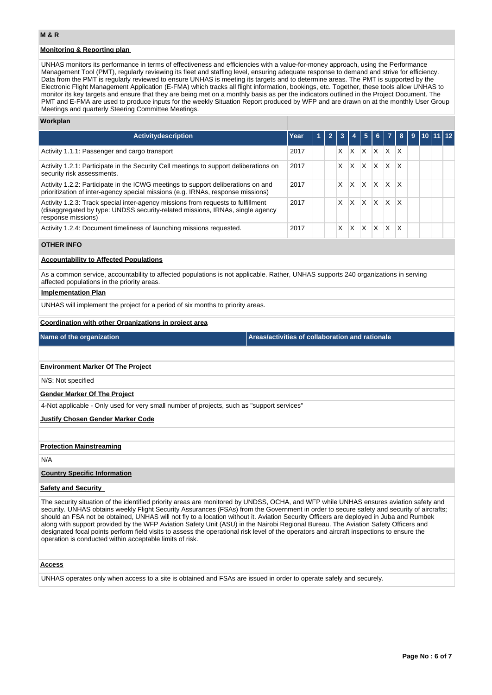## **Monitoring & Reporting plan**

UNHAS monitors its performance in terms of effectiveness and efficiencies with a value-for-money approach, using the Performance Management Tool (PMT), regularly reviewing its fleet and staffing level, ensuring adequate response to demand and strive for efficiency. Data from the PMT is regularly reviewed to ensure UNHAS is meeting its targets and to determine areas. The PMT is supported by the Electronic Flight Management Application (E-FMA) which tracks all flight information, bookings, etc. Together, these tools allow UNHAS to monitor its key targets and ensure that they are being met on a monthly basis as per the indicators outlined in the Project Document. The PMT and E-FMA are used to produce inputs for the weekly Situation Report produced by WFP and are drawn on at the monthly User Group Meetings and quarterly Steering Committee Meetings.

### **Workplan**

| <b>Activitydescription</b>                                                                                                                                                              | Year | $\mathbf{z}$ | -3 |   | 5. |              | $6 \mid 7 \mid$         | -189- |  | $9$   10   11   12 |  |
|-----------------------------------------------------------------------------------------------------------------------------------------------------------------------------------------|------|--------------|----|---|----|--------------|-------------------------|-------|--|--------------------|--|
| Activity 1.1.1: Passenger and cargo transport                                                                                                                                           | 2017 |              | X  | x | X  | X            | X                       | X     |  |                    |  |
| Activity 1.2.1: Participate in the Security Cell meetings to support deliberations on<br>security risk assessments.                                                                     | 2017 |              | X  | X | X  | <b>X</b>     | $\mathsf{I} \mathsf{X}$ | ΙX    |  |                    |  |
| Activity 1.2.2: Participate in the ICWG meetings to support deliberations on and<br>prioritization of inter-agency special missions (e.g. IRNAs, response missions)                     | 2017 |              | X  | X | X  | $\mathsf{X}$ | X                       | X     |  |                    |  |
| Activity 1.2.3: Track special inter-agency missions from requests to fulfillment<br>(disaggregated by type: UNDSS security-related missions, IRNAs, single agency<br>response missions) | 2017 |              | X  | x | X  | $\mathsf{x}$ | X                       | X     |  |                    |  |
| Activity 1.2.4: Document timeliness of launching missions requested.                                                                                                                    | 2017 |              | X  | x | x  | X            | x                       | x     |  |                    |  |

### **OTHER INFO**

### **Accountability to Affected Populations**

As a common service, accountability to affected populations is not applicable. Rather, UNHAS supports 240 organizations in serving affected populations in the priority areas.

#### **Implementation Plan**

UNHAS will implement the project for a period of six months to priority areas.

#### **Coordination with other Organizations in project area**

**Name of the organization Areas/activities of collaboration and rationale** 

### **Environment Marker Of The Project**

N/S: Not specified

### **Gender Marker Of The Project**

4-Not applicable - Only used for very small number of projects, such as "support services"

### **Justify Chosen Gender Marker Code**

### **Protection Mainstreaming**

N/A

### **Country Specific Information**

### **Safety and Security**

The security situation of the identified priority areas are monitored by UNDSS, OCHA, and WFP while UNHAS ensures aviation safety and security. UNHAS obtains weekly Flight Security Assurances (FSAs) from the Government in order to secure safety and security of aircrafts; should an FSA not be obtained, UNHAS will not fly to a location without it. Aviation Security Officers are deployed in Juba and Rumbek along with support provided by the WFP Aviation Safety Unit (ASU) in the Nairobi Regional Bureau. The Aviation Safety Officers and designated focal points perform field visits to assess the operational risk level of the operators and aircraft inspections to ensure the operation is conducted within acceptable limits of risk.

#### **Access**

UNHAS operates only when access to a site is obtained and FSAs are issued in order to operate safely and securely.